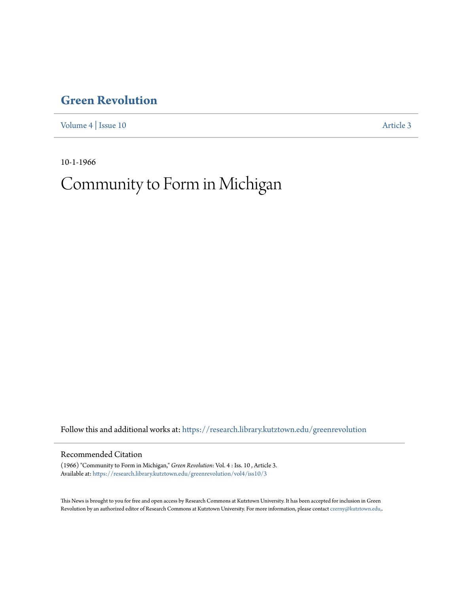## **[Green Revolution](https://research.library.kutztown.edu/greenrevolution?utm_source=research.library.kutztown.edu%2Fgreenrevolution%2Fvol4%2Fiss10%2F3&utm_medium=PDF&utm_campaign=PDFCoverPages)**

[Volume 4](https://research.library.kutztown.edu/greenrevolution/vol4?utm_source=research.library.kutztown.edu%2Fgreenrevolution%2Fvol4%2Fiss10%2F3&utm_medium=PDF&utm_campaign=PDFCoverPages) | [Issue 10](https://research.library.kutztown.edu/greenrevolution/vol4/iss10?utm_source=research.library.kutztown.edu%2Fgreenrevolution%2Fvol4%2Fiss10%2F3&utm_medium=PDF&utm_campaign=PDFCoverPages) [Article 3](https://research.library.kutztown.edu/greenrevolution/vol4/iss10/3?utm_source=research.library.kutztown.edu%2Fgreenrevolution%2Fvol4%2Fiss10%2F3&utm_medium=PDF&utm_campaign=PDFCoverPages)

10-1-1966

# Community to Form in Michigan

Follow this and additional works at: [https://research.library.kutztown.edu/greenrevolution](https://research.library.kutztown.edu/greenrevolution?utm_source=research.library.kutztown.edu%2Fgreenrevolution%2Fvol4%2Fiss10%2F3&utm_medium=PDF&utm_campaign=PDFCoverPages)

#### Recommended Citation

(1966) "Community to Form in Michigan," *Green Revolution*: Vol. 4 : Iss. 10 , Article 3. Available at: [https://research.library.kutztown.edu/greenrevolution/vol4/iss10/3](https://research.library.kutztown.edu/greenrevolution/vol4/iss10/3?utm_source=research.library.kutztown.edu%2Fgreenrevolution%2Fvol4%2Fiss10%2F3&utm_medium=PDF&utm_campaign=PDFCoverPages)

This News is brought to you for free and open access by Research Commons at Kutztown University. It has been accepted for inclusion in Green Revolution by an authorized editor of Research Commons at Kutztown University. For more information, please contact [czerny@kutztown.edu,](mailto:czerny@kutztown.edu,).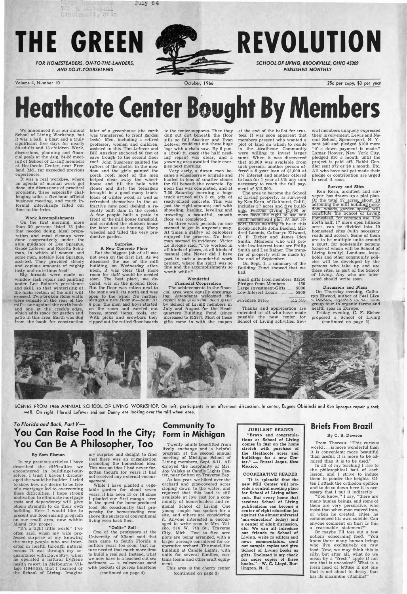

# **Heathcote Center Bought By Members**

We announced it as our annual School of Living Workshop, but it was a ball, a blast and a truly significant five days for nearly 80 adults and 13 children. Work, discussions, planning and financial goals at the Aug. 24-28 meeting of School of Living members at Heathcote Center, near Freeland, Md., far exceeded previous experiences.

**It** was a real workbee, where an agenda of manual work got done, six discussions of practical problems, three especially challenging talks, a five-hour official business meeting, and much informal interchange filled our time to the brim.

#### Work Accomplishments

On the first morning, more than 30 persons listed 13 jobs that needed doing. Meal preparation and meal cleanup were done cooperatively under the able guidance of Dee Sprague, Grace Lefever and Rosetta Schuman, in which all women and some men, notably Ken Sprague, assisted. They provided steady and copious amounts of mighty tasty and nutritious food!

Big inroads were made on window sash repair and painting under Lee Rainer's persistence and skill, so that winterizing of *the main* section of the mill will proceed. Two broken stone walls were remade at the rear of the mill-one against the earth bank and one at the creek's edge, which adds space for garden and patio in **this** area. Earth was dug from the bank for construction

later of a greenhouse (the earth was transferred to front garden beds). Men, including a retired professor, women and children, assisted in this. Tim Lefever and Bill Anacker anchored 60 feet of eave trough to the second floor roof; John Susoreny painted the rafters of the shelter in the meadow and the girls painted the porch roof; most of the men helped clear away the wheelhouse and fill the hole with stones and dirt; the teenagers brought in a good many truckloads of winter wood, as well as refreshed themselves in the at tractive new pool (behind a recently built dam in the creek). A few people built a patio in front of the mill house threshold, and scrubbed the chicken house for later use as housing. Many weeded and tilled the very productive garden.

MIA 04

#### Surprise: A New Concrete Floor

But the biggest job of all was not even on the first list. As we discussed the use of the mill building, on Wednesday afternoon, it was clear that more room for staff would be needed soon. The best place, we decided, was on the ground floor. But the floor was rotten next to the stone wall; its north end was open to the wind. No matter:<br>let's get a new floor in—now! At 4 p.m. the men and boys started on the room and carried out boxes, stored items, tools, etc. With picks and crowbars they ripped out the rotted floor boards

Small gifts from members \$1250<br>Pledges from Members ... 450 Pledges from Members .... Large Investment-Gifts ...... 5000 Low-Interest Loans ............ 5800

Purchase Price : 312,500

to the center supports. Then they dug out dirt beneath the floor sills so Bill Anacker and Evan Lefever could cut out these huge logs with a chain saw. By 9 p.m. a 12x40 ft. space (the half needing repair) was clear, and a yawning area awaited their energies next morning.

Very early, a dozen men **be**came a wheelbarrow brigade and hauled in tons of smaller stones for fill beneath the concrete. By noon this was completed, and at 7:30 Saturday morning a huge truck arrived with 3 cu. yds. of ready-mixed concrete. This was just the right amount; and with shoveling, hauling, leveling and troweling a beautiful, smooth floor was completed.

SCENES FROM 1966 ANNUAL SCHOOL OF LIVING WORKSHOP. On left, participants in an afternoon discussion. In center, Eugene Obidinski and Ken Sprague repair a rock wall. On right, Harold Lefever and son Danny are looking over the mill wheel area.

In three work periods no one seemed to get in anyone's way. At times a gallery of onlookers enjoyed the process. No bossman seemed in evidence. Victor Le Breque said, "I've worked in all kinds of places, at all kinds of manual jobs. Never did I have part in such a wonderful work project, where the spirit was so fine and the accomplishments so worth while."

#### Wonderful Financial Cooperation

The achievements in the financial area were equally encouraging. Attendants welcomed the<br>report that  $\frac{1}{1020}$  had been given by School of Living members in July and August for the Headquarters Building Fund (since increased to \$1287). Most of these gifts came in with the coupon

To Florida and Back. Part  $V$ -**Y OU Can Raise Food In the City; Form in �ichigan Community To** 

at the end of the ballot for trustees. It was soon apparent that members present who wanted a plot of land on which to reside in the Heathcote Community were willing to invest larger sums. When it was discovered that \$5,000 was available from such persons, another person offered a 5 year loan of \$1,000 at 1% interest and another offered to loan for 1 year at 3 **%** any sum necessary to reach the full payment of \$12,500.

The area to become the School of Living property, as surveyed by Ken Kern, of Oakhurst, Calif., includes 37 acres and five build ings. Persons giving \$1,000 or more have the right to use one  $s$ ma $\Pi$  h $o$ mes $t$ ead plo $t$ . A $t$  las $t$  report, those wanting **to** be in this group include John Bischof, Mildred Loomis, Catharyn Ellwood, C. F. Eicher and James Iden Smith. Members who will provide low-interest loans are Philip Smith and Leo Rainer. The transfer of property will be made by the end of September.

tions as School of Living comes in fast on the home strefch with purchase of the Heathcote acres and buildings for a new Center." - Russel Jaque, New Mexico.

On Sept. 1, a summary of the Building Fund showed that we had:

Thanks and appreciation are extended to all who have made possible the new center for School of Living activities. Sev-

eral members uniquely expressed their involvement. Lewis and Na*omi* School, Spencerport, N. Y., sent \$40 and pledged \$100 more "if a down payment is made." Lamar Hoover, New York City, pledged \$10 a month until the project is paid off. Rabbi Gendler sent \$72 or \$6 a month. Etc. All who have not yet made their pledge or contribution are urged to send it soon.

#### Survey and Sites

Ken Kern, architect and surveyor, has drawn up a plot plan. Of the total 37 acres, about 20 adjoining the mill building (meadow, woods, garden space) will constitute the School of Living fiomestead, for common use. The north half, 17 more open hillside acres, can be divided into 10 homestead sites (with necessary roads and access). Some of them are to be multiple units around a court, for non-family persons (some of whom will be School of Living faculty). Land-use, leaseholds and other community policies will be developed by the persons who take up and use these sites, as part of the School of Living. Any who are interested should write soon.

#### Discussion and Plans

On Thursday evening, Catharyn Elwood, author of Feel Like t. Million, reperted on her 1988.<br>group tour to organic farms and health spas in Europe.

Friday evening, C. F. Eicher proposed a School of Living (continued on page 2)



# **You Can Be A Philosopher, Too**

#### By Sam Eisman

In my previous articles I have described the difficulties we encountered in building-it-ourselves. I trust I haven't discouraged the would-be builder. I tried to show how my desire to be free of a mortgage led **to** overcoming these difficulties. I hope strong motivation to eliminate mortgage costs and dependency will give others strength to do their own building. Here I would like to present our food-raising program on our small area, now within Miami city proper.

'1t's a tight little world'' I've often said, when my wife professed surprise at my knowing the many people who are interested in health through natural means. It was through my acquaintance with Dave Stry, when he operated a natural hygiene health resort in Melbourne Village (1946-58), that I learned of the School of Living. Imagine

my surprise and delight to find that there was an organization promoting the homestead idea. This was an idea I had never forgotten though for years it had not received any external encouragement.

While I have planted a vegetable garden for about seven years, it has been 15 or 16 since planted our first mango tree in the quest for home-produced food. So occasionally that propensity for homesteading rose above the surface of conventional living even back then.

#### "Oolite" Soil

One of the professors at the University of Miami said that man came to South Florida a million years too soon; that nature needed that much more time **to** build a real soil. Instead, what we now have is a leached out sea sediment - a calcareous sand with pockets of porous limestone

(continued on page 4)

Twenty adults benefitted from lively exchange and a helpful program at the second annual meeting of Michigan School of Living members, Sept. 9-11. All enjoyed the hospitality of Mrs. Joy Valsko at Candle Lights Center, near Sutton on Traverse Bay.

As last year, we hiked over the orchard and pine-covered acres sloping down to the water, and rejoiced that this land is still available at low cost for a community of homesteaders and regional School of Living. One young couple has spoken for a site, and others are considering it. Anyone interested is encouraged to write soon to Mrs. Valsko, 516 W. 7th St., Traverse City, Mich. Two to five acre plots are being arranged, with a larger acreage considered for cooperative orchard. The motel-like building at Candle Lights, with units for several families, contains looms and other craft equipment.

This area is the cherry center (continued on page 3)

JUBILANT READER "Bravo and congratula

#### COOPERATIVE READER

"It is splendid that the new Mill Center will provide a central meeting place for School of Living adherents. But every home that receives School of Living publications can become a center of right education (as against the almost universal 'mis-education' today) and a center of adult discussion, etc. We can all introduce our friends to School of Living, write to editors and news commentators, send out sample copies and give School of Living books as gifts. Enclosed is my check for more copies of three books."-W. C. Lloyd, Burlington, N. C.

**Briefs From Brazil**  By. C. S. Dawson

From Thoreau: "This curious world ... is more wonderful than it is convenient; more beautiful than useful; it is more to be admired than it is to be used."

In all of my teaching I rise to the philosophical bait of each lesson, and I strive to induce them to ponder the heights. Often I attack the orthodox opinion and to do so down here it is necessary that I put it indirectly.

"You know," I say, "there are many human beings, and some of them are very persuasive, who insist that when man moved into. or when he created, cities, he commenced his own suicide. Can anyone comment on this? Is this a reasonable statement?"

Or maybe I'll toss out a few notions concerning food. "You know there many human beings who live exclusively on raw food. Now, we may think this is silly, but after **all,** what do we mean by a "fresh" apple if not one that is uncooked? What is a fresh head of lettuce if not one that is not about to decay, that has its maximum vitamins?"